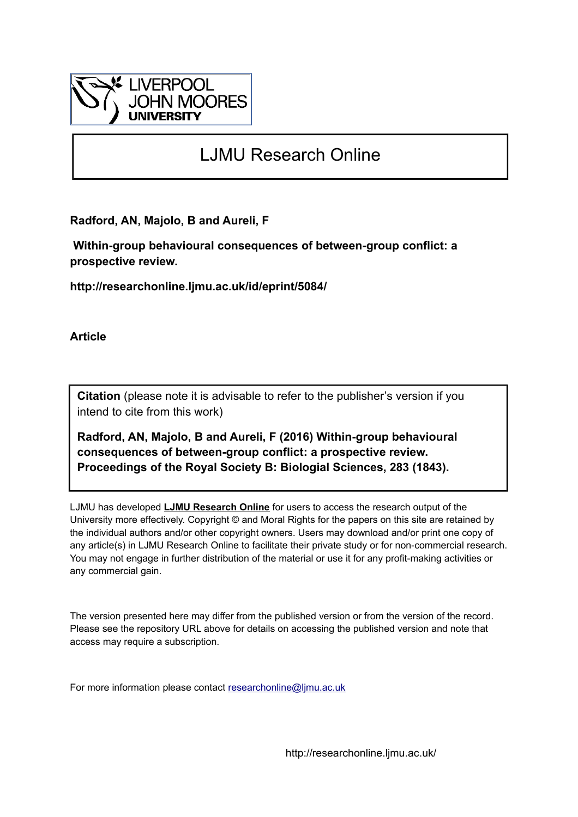

# LJMU Research Online

**Radford, AN, Majolo, B and Aureli, F**

 **Within-group behavioural consequences of between-group conflict: a prospective review.**

**http://researchonline.ljmu.ac.uk/id/eprint/5084/**

**Article**

**Citation** (please note it is advisable to refer to the publisher's version if you intend to cite from this work)

**Radford, AN, Majolo, B and Aureli, F (2016) Within-group behavioural consequences of between-group conflict: a prospective review. Proceedings of the Royal Society B: Biologial Sciences, 283 (1843).** 

LJMU has developed **[LJMU Research Online](http://researchonline.ljmu.ac.uk/)** for users to access the research output of the University more effectively. Copyright © and Moral Rights for the papers on this site are retained by the individual authors and/or other copyright owners. Users may download and/or print one copy of any article(s) in LJMU Research Online to facilitate their private study or for non-commercial research. You may not engage in further distribution of the material or use it for any profit-making activities or any commercial gain.

The version presented here may differ from the published version or from the version of the record. Please see the repository URL above for details on accessing the published version and note that access may require a subscription.

For more information please contact [researchonline@ljmu.ac.uk](mailto:researchonline@ljmu.ac.uk)

http://researchonline.ljmu.ac.uk/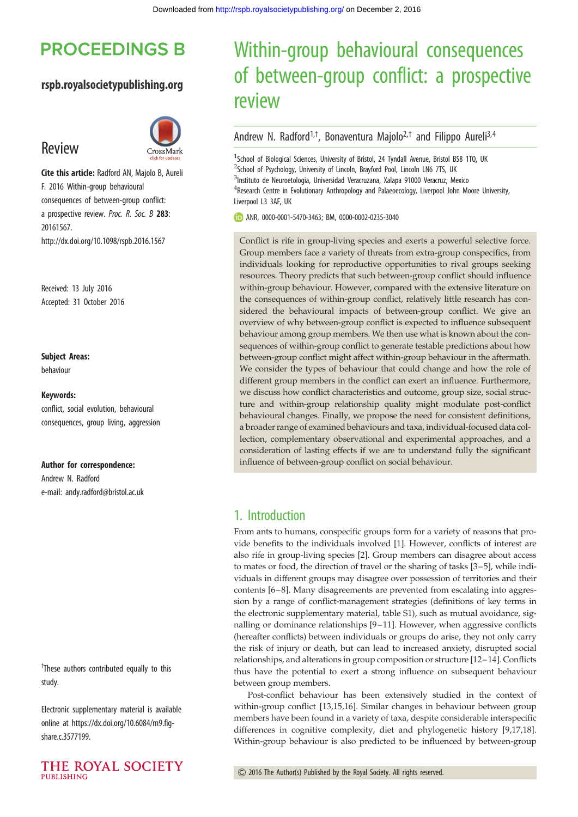# **PROCEEDINGS B**

## rspb.royalsocietypublishing.org

# Review



Cite this article: Radford AN, Majolo B, Aureli F. 2016 Within-group behavioural consequences of between-group conflict: a prospective review. Proc. R. Soc. B 283: 20161567. http://dx.doi.org/10.1098/rspb.2016.1567

Received: 13 July 2016 Accepted: 31 October 2016

#### Subject Areas:

behaviour

#### Keywords:

conflict, social evolution, behavioural consequences, group living, aggression

#### Author for correspondence:

Andrew N. Radford e-mail: [andy.radford@bristol.ac.uk](mailto:andy.radford@bristol.ac.uk)

<sup>†</sup>These authors contributed equally to this study.

Electronic supplementary material is available online at [https://dx.doi.org/10.6084/m9.fig](https://dx.doi.org/10.6084/m9.figshare.c.3577199)[share.c.3577199.](https://dx.doi.org/10.6084/m9.figshare.c.3577199)



# Within-group behavioural consequences of between-group conflict: a prospective review

## Andrew N. Radford<sup>1,†</sup>, Bonaventura Majolo<sup>2,†</sup> and Filippo Aureli<sup>3,4</sup>

<sup>1</sup>School of Biological Sciences, University of Bristol, 24 Tyndall Avenue, Bristol BS8 1TQ, UK <sup>2</sup>School of Psychology, University of Lincoln, Brayford Pool, Lincoln LN6 7TS, UK <sup>3</sup>Instituto de Neuroetologia, Universidad Veracruzana, Xalapa 91000 Veracruz, Mexico <sup>4</sup> Research Centre in Evolutionary Anthropology and Palaeoecology, Liverpool John Moore University, Liverpool L3 3AF, UK

ANR, [0000-0001-5470-3463](http://orcid.org/0000-0001-5470-3463); BM, [0000-0002-0235-3040](http://orcid.org/0000-0002-0235-3040)

Conflict is rife in group-living species and exerts a powerful selective force. Group members face a variety of threats from extra-group conspecifics, from individuals looking for reproductive opportunities to rival groups seeking resources. Theory predicts that such between-group conflict should influence within-group behaviour. However, compared with the extensive literature on the consequences of within-group conflict, relatively little research has considered the behavioural impacts of between-group conflict. We give an overview of why between-group conflict is expected to influence subsequent behaviour among group members. We then use what is known about the consequences of within-group conflict to generate testable predictions about how between-group conflict might affect within-group behaviour in the aftermath. We consider the types of behaviour that could change and how the role of different group members in the conflict can exert an influence. Furthermore, we discuss how conflict characteristics and outcome, group size, social structure and within-group relationship quality might modulate post-conflict behavioural changes. Finally, we propose the need for consistent definitions, a broader range of examined behaviours and taxa, individual-focused data collection, complementary observational and experimental approaches, and a consideration of lasting effects if we are to understand fully the significant influence of between-group conflict on social behaviour.

# 1. Introduction

From ants to humans, conspecific groups form for a variety of reasons that provide benefits to the individuals involved [[1](#page-8-0)]. However, conflicts of interest are also rife in group-living species [\[2\]](#page-8-0). Group members can disagree about access to mates or food, the direction of travel or the sharing of tasks [[3](#page-8-0)–[5\]](#page-8-0), while individuals in different groups may disagree over possession of territories and their contents [\[6](#page-8-0)–[8](#page-8-0)]. Many disagreements are prevented from escalating into aggression by a range of conflict-management strategies (definitions of key terms in the electronic supplementary material, table S1), such as mutual avoidance, signalling or dominance relationships [[9](#page-8-0)–[11](#page-8-0)]. However, when aggressive conflicts (hereafter conflicts) between individuals or groups do arise, they not only carry the risk of injury or death, but can lead to increased anxiety, disrupted social relationships, and alterations in group composition or structure [\[12](#page-9-0)–[14\]](#page-9-0). Conflicts thus have the potential to exert a strong influence on subsequent behaviour between group members.

Post-conflict behaviour has been extensively studied in the context of within-group conflict [\[13,15](#page-9-0),[16\]](#page-9-0). Similar changes in behaviour between group members have been found in a variety of taxa, despite considerable interspecific differences in cognitive complexity, diet and phylogenetic history [[9](#page-8-0)[,17](#page-9-0),[18\]](#page-9-0). Within-group behaviour is also predicted to be influenced by between-group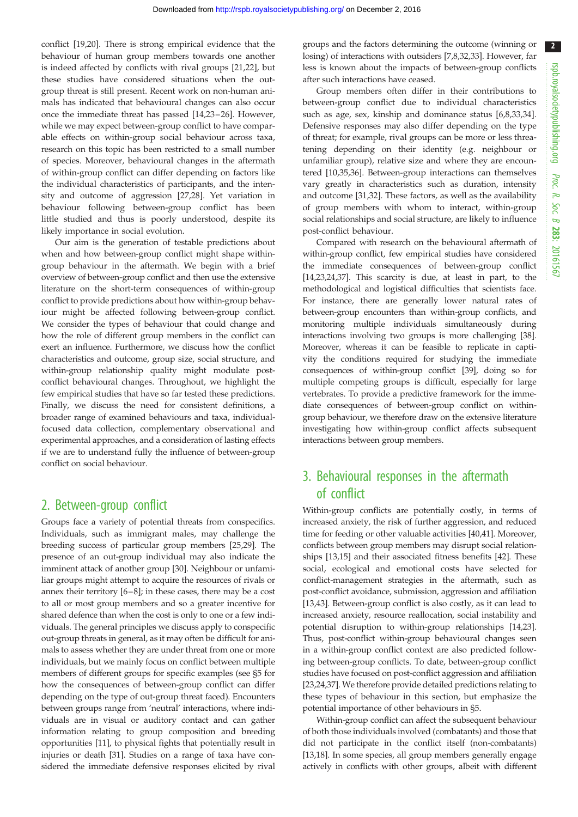$\overline{2}$ 

conflict [[19,20\]](#page-9-0). There is strong empirical evidence that the behaviour of human group members towards one another is indeed affected by conflicts with rival groups [[21,22\]](#page-9-0), but these studies have considered situations when the outgroup threat is still present. Recent work on non-human animals has indicated that behavioural changes can also occur once the immediate threat has passed [[14,23](#page-9-0)– [26\]](#page-9-0). However, while we may expect between-group conflict to have comparable effects on within-group social behaviour across taxa, research on this topic has been restricted to a small number of species. Moreover, behavioural changes in the aftermath of within-group conflict can differ depending on factors like the individual characteristics of participants, and the intensity and outcome of aggression [[27,28\]](#page-9-0). Yet variation in behaviour following between-group conflict has been little studied and thus is poorly understood, despite its likely importance in social evolution.

Our aim is the generation of testable predictions about when and how between-group conflict might shape withingroup behaviour in the aftermath. We begin with a brief overview of between-group conflict and then use the extensive literature on the short-term consequences of within-group conflict to provide predictions about how within-group behaviour might be affected following between-group conflict. We consider the types of behaviour that could change and how the role of different group members in the conflict can exert an influence. Furthermore, we discuss how the conflict characteristics and outcome, group size, social structure, and within-group relationship quality might modulate postconflict behavioural changes. Throughout, we highlight the few empirical studies that have so far tested these predictions. Finally, we discuss the need for consistent definitions, a broader range of examined behaviours and taxa, individualfocused data collection, complementary observational and experimental approaches, and a consideration of lasting effects if we are to understand fully the influence of between-group conflict on social behaviour.

# 2. Between-group conflict

Groups face a variety of potential threats from conspecifics. Individuals, such as immigrant males, may challenge the breeding success of particular group members [\[25,29](#page-9-0)]. The presence of an out-group individual may also indicate the imminent attack of another group [\[30](#page-9-0)]. Neighbour or unfamiliar groups might attempt to acquire the resources of rivals or annex their territory [\[6](#page-8-0)–[8](#page-8-0)]; in these cases, there may be a cost to all or most group members and so a greater incentive for shared defence than when the cost is only to one or a few individuals. The general principles we discuss apply to conspecific out-group threats in general, as it may often be difficult for animals to assess whether they are under threat from one or more individuals, but we mainly focus on conflict between multiple members of different groups for specific examples (see §5 for how the consequences of between-group conflict can differ depending on the type of out-group threat faced). Encounters between groups range from 'neutral' interactions, where individuals are in visual or auditory contact and can gather information relating to group composition and breeding opportunities [[11\]](#page-8-0), to physical fights that potentially result in injuries or death [\[31](#page-9-0)]. Studies on a range of taxa have considered the immediate defensive responses elicited by rival

groups and the factors determining the outcome (winning or losing) of interactions with outsiders [\[7,8,](#page-8-0)[32,33\]](#page-9-0). However, far less is known about the impacts of between-group conflicts after such interactions have ceased.

Group members often differ in their contributions to between-group conflict due to individual characteristics such as age, sex, kinship and dominance status [[6](#page-8-0),[8](#page-8-0)[,33](#page-9-0),[34\]](#page-9-0). Defensive responses may also differ depending on the type of threat; for example, rival groups can be more or less threatening depending on their identity (e.g. neighbour or unfamiliar group), relative size and where they are encountered [[10](#page-8-0),[35,36](#page-9-0)]. Between-group interactions can themselves vary greatly in characteristics such as duration, intensity and outcome [\[31,32](#page-9-0)]. These factors, as well as the availability of group members with whom to interact, within-group social relationships and social structure, are likely to influence post-conflict behaviour.

Compared with research on the behavioural aftermath of within-group conflict, few empirical studies have considered the immediate consequences of between-group conflict [[14](#page-9-0),[23](#page-9-0),[24](#page-9-0),[37](#page-9-0)]. This scarcity is due, at least in part, to the methodological and logistical difficulties that scientists face. For instance, there are generally lower natural rates of between-group encounters than within-group conflicts, and monitoring multiple individuals simultaneously during interactions involving two groups is more challenging [[38\]](#page-9-0). Moreover, whereas it can be feasible to replicate in captivity the conditions required for studying the immediate consequences of within-group conflict [[39\]](#page-9-0), doing so for multiple competing groups is difficult, especially for large vertebrates. To provide a predictive framework for the immediate consequences of between-group conflict on withingroup behaviour, we therefore draw on the extensive literature investigating how within-group conflict affects subsequent interactions between group members.

# 3. Behavioural responses in the aftermath of conflict

Within-group conflicts are potentially costly, in terms of increased anxiety, the risk of further aggression, and reduced time for feeding or other valuable activities [\[40,41](#page-9-0)]. Moreover, conflicts between group members may disrupt social relationships [\[13](#page-9-0),[15](#page-9-0)] and their associated fitness benefits [[42\]](#page-9-0). These social, ecological and emotional costs have selected for conflict-management strategies in the aftermath, such as post-conflict avoidance, submission, aggression and affiliation [[13,43\]](#page-9-0). Between-group conflict is also costly, as it can lead to increased anxiety, resource reallocation, social instability and potential disruption to within-group relationships [[14,23\]](#page-9-0). Thus, post-conflict within-group behavioural changes seen in a within-group conflict context are also predicted following between-group conflicts. To date, between-group conflict studies have focused on post-conflict aggression and affiliation [[23,24,37\]](#page-9-0). We therefore provide detailed predictions relating to these types of behaviour in this section, but emphasize the potential importance of other behaviours in §5.

Within-group conflict can affect the subsequent behaviour of both those individuals involved (combatants) and those that did not participate in the conflict itself (non-combatants) [[13,18\]](#page-9-0). In some species, all group members generally engage actively in conflicts with other groups, albeit with different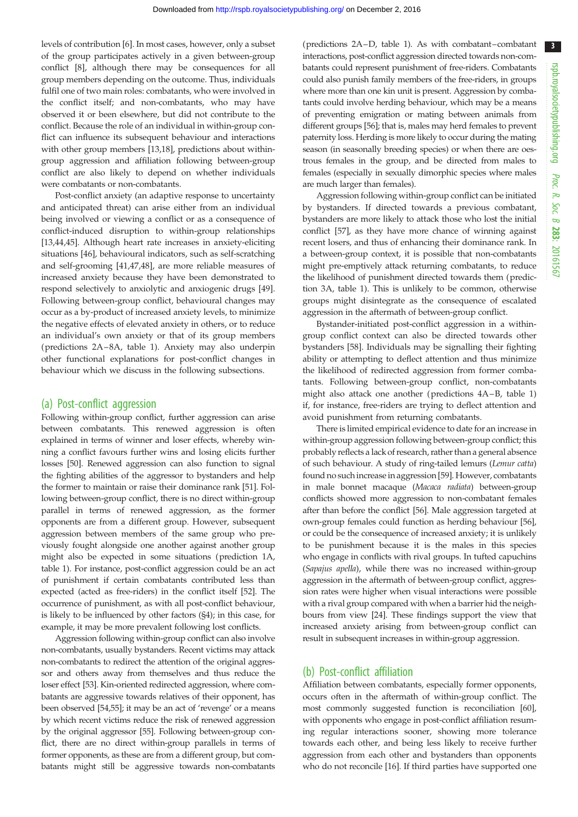3

levels of contribution [[6](#page-8-0)]. In most cases, however, only a subset of the group participates actively in a given between-group conflict [\[8](#page-8-0)], although there may be consequences for all group members depending on the outcome. Thus, individuals fulfil one of two main roles: combatants, who were involved in the conflict itself; and non-combatants, who may have observed it or been elsewhere, but did not contribute to the conflict. Because the role of an individual in within-group conflict can influence its subsequent behaviour and interactions with other group members [\[13,18](#page-9-0)], predictions about withingroup aggression and affiliation following between-group conflict are also likely to depend on whether individuals were combatants or non-combatants.

Post-conflict anxiety (an adaptive response to uncertainty and anticipated threat) can arise either from an individual being involved or viewing a conflict or as a consequence of conflict-induced disruption to within-group relationships [\[13](#page-9-0),[44,45\]](#page-9-0). Although heart rate increases in anxiety-eliciting situations [\[46](#page-9-0)], behavioural indicators, such as self-scratching and self-grooming [[41,47,48](#page-9-0)], are more reliable measures of increased anxiety because they have been demonstrated to respond selectively to anxiolytic and anxiogenic drugs [\[49](#page-9-0)]. Following between-group conflict, behavioural changes may occur as a by-product of increased anxiety levels, to minimize the negative effects of elevated anxiety in others, or to reduce an individual's own anxiety or that of its group members (predictions 2A–8A, [table 1](#page-4-0)). Anxiety may also underpin other functional explanations for post-conflict changes in behaviour which we discuss in the following subsections.

#### (a) Post-conflict aggression

Following within-group conflict, further aggression can arise between combatants. This renewed aggression is often explained in terms of winner and loser effects, whereby winning a conflict favours further wins and losing elicits further losses [\[50\]](#page-9-0). Renewed aggression can also function to signal the fighting abilities of the aggressor to bystanders and help the former to maintain or raise their dominance rank [\[51](#page-9-0)]. Following between-group conflict, there is no direct within-group parallel in terms of renewed aggression, as the former opponents are from a different group. However, subsequent aggression between members of the same group who previously fought alongside one another against another group might also be expected in some situations (prediction 1A, [table 1\)](#page-4-0). For instance, post-conflict aggression could be an act of punishment if certain combatants contributed less than expected (acted as free-riders) in the conflict itself [\[52\]](#page-9-0). The occurrence of punishment, as with all post-conflict behaviour, is likely to be influenced by other factors (§4); in this case, for example, it may be more prevalent following lost conflicts.

Aggression following within-group conflict can also involve non-combatants, usually bystanders. Recent victims may attack non-combatants to redirect the attention of the original aggressor and others away from themselves and thus reduce the loser effect [\[53\]](#page-9-0). Kin-oriented redirected aggression, where combatants are aggressive towards relatives of their opponent, has been observed [\[54,](#page-9-0)[55\]](#page-10-0); it may be an act of 'revenge' or a means by which recent victims reduce the risk of renewed aggression by the original aggressor [[55](#page-10-0)]. Following between-group conflict, there are no direct within-group parallels in terms of former opponents, as these are from a different group, but combatants might still be aggressive towards non-combatants (predictions 2A–D, [table 1](#page-4-0)). As with combatant–combatant interactions, post-conflict aggression directed towards non-combatants could represent punishment of free-riders. Combatants could also punish family members of the free-riders, in groups where more than one kin unit is present. Aggression by combatants could involve herding behaviour, which may be a means of preventing emigration or mating between animals from different groups [[56](#page-10-0)]; that is, males may herd females to prevent paternity loss. Herding is more likely to occur during the mating season (in seasonally breeding species) or when there are oestrous females in the group, and be directed from males to females (especially in sexually dimorphic species where males are much larger than females).

Aggression following within-group conflict can be initiated by bystanders. If directed towards a previous combatant, bystanders are more likely to attack those who lost the initial conflict [[57\]](#page-10-0), as they have more chance of winning against recent losers, and thus of enhancing their dominance rank. In a between-group context, it is possible that non-combatants might pre-emptively attack returning combatants, to reduce the likelihood of punishment directed towards them (prediction 3A, [table 1](#page-4-0)). This is unlikely to be common, otherwise groups might disintegrate as the consequence of escalated aggression in the aftermath of between-group conflict.

Bystander-initiated post-conflict aggression in a withingroup conflict context can also be directed towards other bystanders [[58\]](#page-10-0). Individuals may be signalling their fighting ability or attempting to deflect attention and thus minimize the likelihood of redirected aggression from former combatants. Following between-group conflict, non-combatants might also attack one another (predictions 4A–B, [table 1\)](#page-4-0) if, for instance, free-riders are trying to deflect attention and avoid punishment from returning combatants.

There is limited empirical evidence to date for an increase in within-group aggression following between-group conflict; this probably reflects a lack of research, rather than a general absence of such behaviour. A study of ring-tailed lemurs (Lemur catta) found no such increase in aggression [\[59\]](#page-10-0). However, combatants in male bonnet macaque (Macaca radiata) between-group conflicts showed more aggression to non-combatant females after than before the conflict [\[56\]](#page-10-0). Male aggression targeted at own-group females could function as herding behaviour [[56\]](#page-10-0), or could be the consequence of increased anxiety; it is unlikely to be punishment because it is the males in this species who engage in conflicts with rival groups. In tufted capuchins (Sapajus apella), while there was no increased within-group aggression in the aftermath of between-group conflict, aggression rates were higher when visual interactions were possible with a rival group compared with when a barrier hid the neighbours from view [[24](#page-9-0)]. These findings support the view that increased anxiety arising from between-group conflict can result in subsequent increases in within-group aggression.

## (b) Post-conflict affiliation

Affiliation between combatants, especially former opponents, occurs often in the aftermath of within-group conflict. The most commonly suggested function is reconciliation [[60\]](#page-10-0), with opponents who engage in post-conflict affiliation resuming regular interactions sooner, showing more tolerance towards each other, and being less likely to receive further aggression from each other and bystanders than opponents who do not reconcile [\[16](#page-9-0)]. If third parties have supported one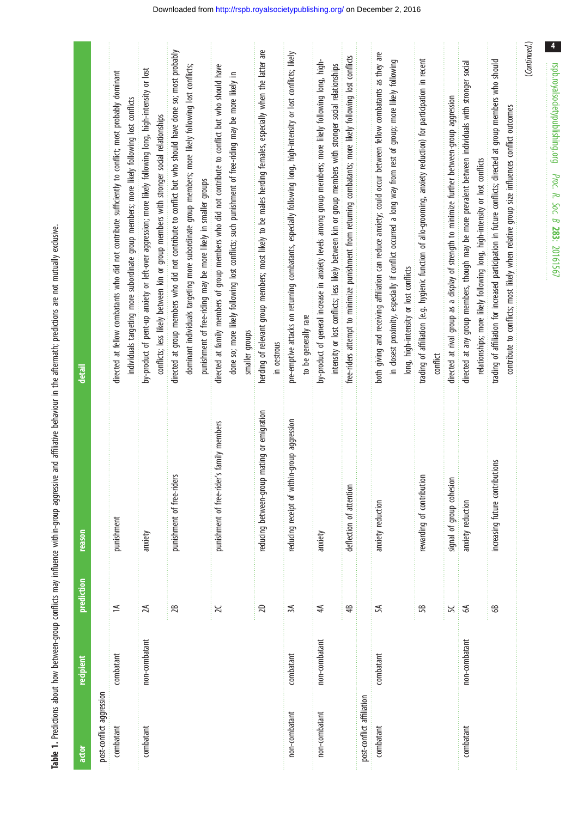Table 1. Predictions about how between-group conflicts may influence within-group aggressive and affiliative behaviour in the aftermath; predictions are not mutually exclusive. Table 1. Predictions about how between-group conflicts may influence within-group aggressive and affiliative behaviour in the aftermath; predictions are not mutually exclusive.

<span id="page-4-0"></span>

| actor                     | recipient     | prediction     | reason                                         | detail                                                                                                                                                                                                                                                                            |
|---------------------------|---------------|----------------|------------------------------------------------|-----------------------------------------------------------------------------------------------------------------------------------------------------------------------------------------------------------------------------------------------------------------------------------|
| post-conflict aggression  |               |                |                                                |                                                                                                                                                                                                                                                                                   |
| combatant                 | combatant     | $\approx$      | punishment                                     | directed at fellow combatants who did not contribute sufficiently to conflict; most probably dominant<br>individuals targeting more subordinate group members; more likely following lost conflicts                                                                               |
| combatant                 | non-combatant | $\lambda$      | anxiety                                        | by-product of pent-up anxiety or left-over aggression; more likely following long, high-intensity or lost<br>conflicts; less likely between kin or group members with stronger social relationships                                                                               |
|                           |               | 28             | punishment of free-riders                      | directed at group members who did not contribute to conflict but who should have done so; most probably<br>dominant individuals targeting more subordinate group members; more likely following lost conflicts;<br>punishment of free-riding may be more likely in smaller groups |
|                           |               | $\geq$         | punishment of free-rider's family members      | directed at family members of group members who did not contribute to conflict but who should have<br>done so; more likely following lost conflicts; such punishment of free-riding may be more likely in<br>smaller qroups                                                       |
|                           |               | 20             | mating or emigration<br>reducing between-group | herding of relevant group members; most likely to be males herding females, especially when the latter are<br>in oestrous                                                                                                                                                         |
| non-combatant             | combatant     | ЗĄ             | reducing receipt of within-group aggression    | pre-emptive attacks on returning combatants, especially following long, high-intensity or lost conflicts; likely<br>to be generally rare                                                                                                                                          |
| non-combatant             | non-combatant | 44             | anxiety                                        | by-product of general increase in anxiety levels among group members; more likely following long, high-<br>intensity or lost conflicts; less likely between kin or group members with stronger social relationships                                                               |
|                           |               | 48             | deflection of attention                        | free-riders attempt to minimize punishment from returning combatants; more likely following lost conflicts                                                                                                                                                                        |
| post-conflict affiliation |               |                |                                                |                                                                                                                                                                                                                                                                                   |
| combatant                 | combatant     | 5А             | anxiety reduction                              | both giving and receiving affiliation can reduce anxiety; could occur between fellow combatants as they are<br>in closest proximity, especially if conflict occurred a long way from rest of group; more likely following<br>long, high-intensity or lost conflicts               |
|                           |               | 58             | rewarding of contribution                      | trading of affiliation (e.g. hygienic function of allo-grooming, anxiety reduction) for participation in recent<br>contlict                                                                                                                                                       |
|                           |               | 56             | signal of group cohesion                       | directed at rival group as a display of strength to minimize further between-group aggression                                                                                                                                                                                     |
| combatant                 | non-combatant | $\mathfrak{G}$ | anxiety reduction                              | directed at any group members, though may be more prevalent between individuals with stronger social<br>relationships; more likely following long, high-intensity or lost conflicts                                                                                               |
|                           |               | $\circledast$  | increasing future contributions                | trading of affiliation for increased participation in future conflicts; directed at group members who should<br>contribute to conflicts; most likely when relative group size influences conflict outcomes                                                                        |
|                           |               |                |                                                | (Continued.)                                                                                                                                                                                                                                                                      |

rspb.royalsocietypublishing.org

 $\overline{4}$ 

Proc. R. Soc. $\sigma$ 283: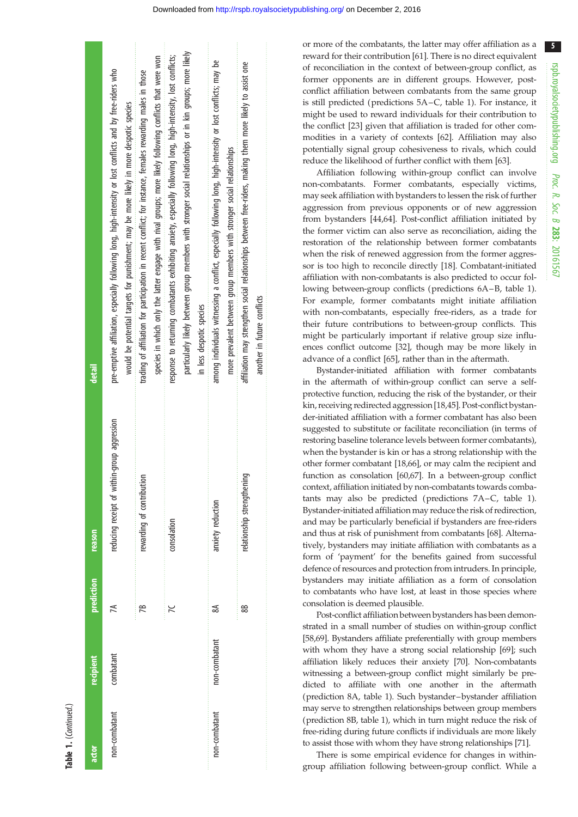| ۲ |
|---|
|   |
| ī |
|   |
|   |
|   |
|   |
|   |

| actor         | recipient     | prediction | reason                                      | detail                                                                                                                                                                                                                        |
|---------------|---------------|------------|---------------------------------------------|-------------------------------------------------------------------------------------------------------------------------------------------------------------------------------------------------------------------------------|
| non-combatant | combatant     | ≤          | reducing receipt of within-group aggression | pre-emptive affiliation, especially following long, high-intensity or lost conflicts and by free-riders who<br>would be potential targets for punishment; may be more likely in more despotic species                         |
|               |               | Æ          | rewarding of contribution                   | species in which only the latter engage with rival groups; more likely following conflicts that were won<br>trading of affiliation for participation in recent conflict; for instance, females rewarding males in those       |
|               |               |            | consolation                                 | particularly likely between group members with stronger social relationships or in kin groups; more likely<br>response to returning combatants exhibiting anxiety, especially following long, high-intensity, lost conflicts; |
|               |               |            |                                             | in less despotic species                                                                                                                                                                                                      |
| non-combatant | non-combatant | వ          | anxiety reduction                           | among individuals witnessing a conflict, especially following long, high-intensity or lost conflicts; may be<br>more prevalent between group members with stronger social relationships                                       |
|               |               | 88         | relationship strengthening                  | affiliation may strengthen social relationships between free-riders, making them more likely to assist one<br>another in future conflicts                                                                                     |

or more of the combatants, the latter may offer affiliation as a reward for their contribution [[61](#page-10-0)]. There is no direct equivalent of reconciliation in the context of between-group conflict, as former opponents are in different groups. However, postconflict affiliation between combatants from the same group is still predicted (predictions 5A–C, [table 1](#page-4-0)). For instance, it might be used to reward individuals for their contribution to the conflict [[23](#page-9-0)] given that affiliation is traded for other commodities in a variety of contexts [[62](#page-10-0)]. Affiliation may also potentially signal group cohesiveness to rivals, which could reduce the likelihood of further conflict with them [\[63\]](#page-10-0).

Affiliation following within-group conflict can involve non-combatants. Former combatants, especially victims, may seek affiliation with bystanders to lessen the risk of further aggression from previous opponents or of new aggression from bystanders [\[44](#page-9-0)[,64](#page-10-0)]. Post-conflict affiliation initiated by the former victim can also serve as reconciliation, aiding the restoration of the relationship between former combatants when the risk of renewed aggression from the former aggressor is too high to reconcile directly [\[18](#page-9-0)]. Combatant-initiated affiliation with non-combatants is also predicted to occur following between-group conflicts (predictions 6A–B, [table 1\)](#page-4-0). For example, former combatants might initiate affiliation with non-combatants, especially free-riders, as a trade for their future contributions to between-group conflicts. This might be particularly important if relative group size influences conflict outcome [\[32](#page-9-0)], though may be more likely in advance of a conflict [\[65](#page-10-0)], rather than in the aftermath.

Bystander-initiated affiliation with former combatants in the aftermath of within-group conflict can serve a selfprotective function, reducing the risk of the bystander, or their kin, receiving redirected aggression [[18,45\]](#page-9-0). Post-conflict bystander-initiated affiliation with a former combatant has also been suggested to substitute or facilitate reconciliation (in terms of restoring baseline tolerance levels between former combatants), when the bystander is kin or has a strong relationship with the other former combatant [\[18](#page-9-0)[,66](#page-10-0)], or may calm the recipient and function as consolation [[60](#page-10-0),[67](#page-10-0)]. In a between-group conflict context, affiliation initiated by non-combatants towards combatants may also be predicted (predictions 7A–C, [table 1\)](#page-4-0). Bystander-initiated affiliation may reduce the risk of redirection, and may be particularly beneficial if bystanders are free-riders and thus at risk of punishment from combatants [\[68](#page-10-0)]. Alternatively, bystanders may initiate affiliation with combatants as a form of 'payment' for the benefits gained from successful defence of resources and protection from intruders. In principle, bystanders may initiate affiliation as a form of consolation to combatants who have lost, at least in those species where consolation is deemed plausible.

Post-conflict affiliation between bystanders has been demonstrated in a small number of studies on within-group conflict [[58,69](#page-10-0)]. Bystanders affiliate preferentially with group members with whom they have a strong social relationship [\[69](#page-10-0)]; such affiliation likely reduces their anxiety [\[70](#page-10-0)]. Non-combatants witnessing a between-group conflict might similarly be predicted to affiliate with one another in the aftermath (prediction 8A, [table 1\)](#page-4-0). Such bystander–bystander affiliation may serve to strengthen relationships between group members (prediction 8B, [table 1](#page-4-0)), which in turn might reduce the risk of free-riding during future conflicts if individuals are more likely to assist those with whom they have strong relationships [\[71\]](#page-10-0).

There is some empirical evidence for changes in withingroup affiliation following between-group conflict. While a 5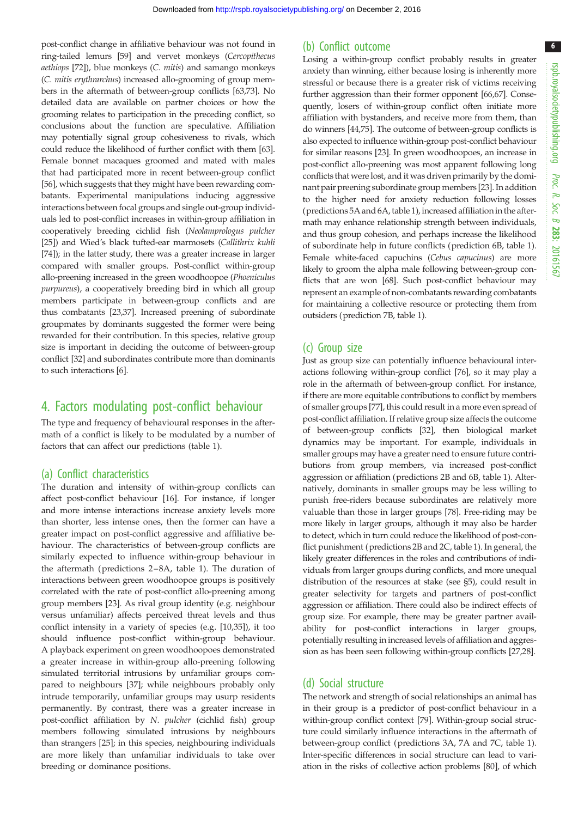post-conflict change in affiliative behaviour was not found in ring-tailed lemurs [[59](#page-10-0)] and vervet monkeys (Cercopithecus aethiops [\[72\]](#page-10-0)), blue monkeys (C. mitis) and samango monkeys (C. mitis erythrarchus) increased allo-grooming of group members in the aftermath of between-group conflicts [[63](#page-10-0),[73](#page-10-0)]. No detailed data are available on partner choices or how the grooming relates to participation in the preceding conflict, so conclusions about the function are speculative. Affiliation may potentially signal group cohesiveness to rivals, which could reduce the likelihood of further conflict with them [[63](#page-10-0)]. Female bonnet macaques groomed and mated with males that had participated more in recent between-group conflict [\[56](#page-10-0)], which suggests that they might have been rewarding combatants. Experimental manipulations inducing aggressive interactions between focal groups and single out-group individuals led to post-conflict increases in within-group affiliation in cooperatively breeding cichlid fish (Neolamprologus pulcher [\[25](#page-9-0)]) and Wied's black tufted-ear marmosets (Callithrix kuhli [\[74](#page-10-0)]); in the latter study, there was a greater increase in larger compared with smaller groups. Post-conflict within-group allo-preening increased in the green woodhoopoe (Phoeniculus purpureus), a cooperatively breeding bird in which all group members participate in between-group conflicts and are thus combatants [[23](#page-9-0),[37](#page-9-0)]. Increased preening of subordinate groupmates by dominants suggested the former were being rewarded for their contribution. In this species, relative group size is important in deciding the outcome of between-group conflict [\[32\]](#page-9-0) and subordinates contribute more than dominants to such interactions [[6](#page-8-0)].

### 4. Factors modulating post-conflict behaviour

The type and frequency of behavioural responses in the aftermath of a conflict is likely to be modulated by a number of factors that can affect our predictions ([table 1\)](#page-4-0).

#### (a) Conflict characteristics

The duration and intensity of within-group conflicts can affect post-conflict behaviour [\[16](#page-9-0)]. For instance, if longer and more intense interactions increase anxiety levels more than shorter, less intense ones, then the former can have a greater impact on post-conflict aggressive and affiliative behaviour. The characteristics of between-group conflicts are similarly expected to influence within-group behaviour in the aftermath (predictions 2–8A, [table 1](#page-4-0)). The duration of interactions between green woodhoopoe groups is positively correlated with the rate of post-conflict allo-preening among group members [\[23](#page-9-0)]. As rival group identity (e.g. neighbour versus unfamiliar) affects perceived threat levels and thus conflict intensity in a variety of species (e.g. [[10,](#page-8-0)[35\]](#page-9-0)), it too should influence post-conflict within-group behaviour. A playback experiment on green woodhoopoes demonstrated a greater increase in within-group allo-preening following simulated territorial intrusions by unfamiliar groups compared to neighbours [\[37](#page-9-0)]; while neighbours probably only intrude temporarily, unfamiliar groups may usurp residents permanently. By contrast, there was a greater increase in post-conflict affiliation by N. pulcher (cichlid fish) group members following simulated intrusions by neighbours than strangers [[25\]](#page-9-0); in this species, neighbouring individuals are more likely than unfamiliar individuals to take over breeding or dominance positions.

#### (b) Conflict outcome

Losing a within-group conflict probably results in greater anxiety than winning, either because losing is inherently more stressful or because there is a greater risk of victims receiving further aggression than their former opponent [[66,67](#page-10-0)]. Consequently, losers of within-group conflict often initiate more affiliation with bystanders, and receive more from them, than do winners [[44,](#page-9-0)[75\]](#page-10-0). The outcome of between-group conflicts is also expected to influence within-group post-conflict behaviour for similar reasons [\[23\]](#page-9-0). In green woodhoopoes, an increase in post-conflict allo-preening was most apparent following long conflicts that were lost, and it was driven primarily by the dominant pair preening subordinate group members [\[23](#page-9-0)]. In addition to the higher need for anxiety reduction following losses (predictions 5A and 6A, [table 1](#page-4-0)), increased affiliation in the aftermath may enhance relationship strength between individuals, and thus group cohesion, and perhaps increase the likelihood of subordinate help in future conflicts (prediction 6B, [table 1\)](#page-4-0). Female white-faced capuchins (Cebus capucinus) are more likely to groom the alpha male following between-group conflicts that are won [[68](#page-10-0)]. Such post-conflict behaviour may represent an example of non-combatants rewarding combatants for maintaining a collective resource or protecting them from outsiders (prediction 7B, [table 1\)](#page-4-0).

#### (c) Group size

Just as group size can potentially influence behavioural interactions following within-group conflict [\[76\]](#page-10-0), so it may play a role in the aftermath of between-group conflict. For instance, if there are more equitable contributions to conflict by members of smaller groups [[77](#page-10-0)], this could result in a more even spread of post-conflict affiliation. If relative group size affects the outcome of between-group conflicts [[32\]](#page-9-0), then biological market dynamics may be important. For example, individuals in smaller groups may have a greater need to ensure future contributions from group members, via increased post-conflict aggression or affiliation (predictions 2B and 6B, [table 1\)](#page-4-0). Alternatively, dominants in smaller groups may be less willing to punish free-riders because subordinates are relatively more valuable than those in larger groups [\[78\]](#page-10-0). Free-riding may be more likely in larger groups, although it may also be harder to detect, which in turn could reduce the likelihood of post-conflict punishment (predictions 2B and 2C, [table 1](#page-4-0)). In general, the likely greater differences in the roles and contributions of individuals from larger groups during conflicts, and more unequal distribution of the resources at stake (see §5), could result in greater selectivity for targets and partners of post-conflict aggression or affiliation. There could also be indirect effects of group size. For example, there may be greater partner availability for post-conflict interactions in larger groups, potentially resulting in increased levels of affiliation and aggression as has been seen following within-group conflicts [\[27,28\]](#page-9-0).

#### (d) Social structure

The network and strength of social relationships an animal has in their group is a predictor of post-conflict behaviour in a within-group conflict context [[79\]](#page-10-0). Within-group social structure could similarly influence interactions in the aftermath of between-group conflict (predictions 3A, 7A and 7C, [table 1\)](#page-4-0). Inter-specific differences in social structure can lead to variation in the risks of collective action problems [[80\]](#page-10-0), of which 6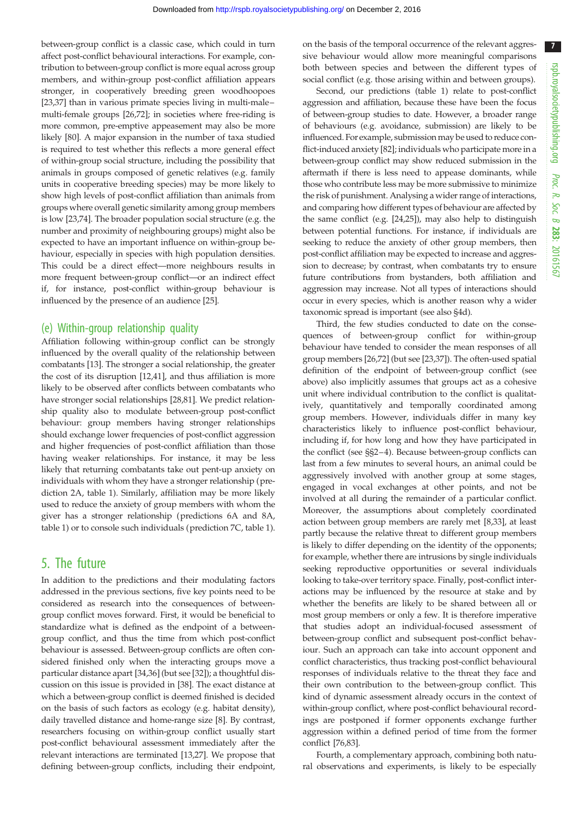between-group conflict is a classic case, which could in turn affect post-conflict behavioural interactions. For example, contribution to between-group conflict is more equal across group members, and within-group post-conflict affiliation appears stronger, in cooperatively breeding green woodhoopoes [\[23,37](#page-9-0)] than in various primate species living in multi-malemulti-female groups [\[26](#page-9-0),[72](#page-10-0)]; in societies where free-riding is more common, pre-emptive appeasement may also be more likely [[80\]](#page-10-0). A major expansion in the number of taxa studied is required to test whether this reflects a more general effect of within-group social structure, including the possibility that animals in groups composed of genetic relatives (e.g. family units in cooperative breeding species) may be more likely to show high levels of post-conflict affiliation than animals from groups where overall genetic similarity among group members is low [\[23](#page-9-0),[74](#page-10-0)]. The broader population social structure (e.g. the number and proximity of neighbouring groups) might also be expected to have an important influence on within-group behaviour, especially in species with high population densities. This could be a direct effect—more neighbours results in more frequent between-group conflict—or an indirect effect if, for instance, post-conflict within-group behaviour is influenced by the presence of an audience [[25\]](#page-9-0).

#### (e) Within-group relationship quality

Affiliation following within-group conflict can be strongly influenced by the overall quality of the relationship between combatants [\[13](#page-9-0)]. The stronger a social relationship, the greater the cost of its disruption [[12,41\]](#page-9-0), and thus affiliation is more likely to be observed after conflicts between combatants who have stronger social relationships [\[28](#page-9-0)[,81](#page-10-0)]. We predict relationship quality also to modulate between-group post-conflict behaviour: group members having stronger relationships should exchange lower frequencies of post-conflict aggression and higher frequencies of post-conflict affiliation than those having weaker relationships. For instance, it may be less likely that returning combatants take out pent-up anxiety on individuals with whom they have a stronger relationship (prediction 2A, [table 1\)](#page-4-0). Similarly, affiliation may be more likely used to reduce the anxiety of group members with whom the giver has a stronger relationship (predictions 6A and 8A, [table 1](#page-4-0)) or to console such individuals (prediction 7C, [table 1](#page-4-0)).

## 5. The future

In addition to the predictions and their modulating factors addressed in the previous sections, five key points need to be considered as research into the consequences of betweengroup conflict moves forward. First, it would be beneficial to standardize what is defined as the endpoint of a betweengroup conflict, and thus the time from which post-conflict behaviour is assessed. Between-group conflicts are often considered finished only when the interacting groups move a particular distance apart [[34,36\]](#page-9-0) (but see [[32\]](#page-9-0)); a thoughtful discussion on this issue is provided in [[38\]](#page-9-0). The exact distance at which a between-group conflict is deemed finished is decided on the basis of such factors as ecology (e.g. habitat density), daily travelled distance and home-range size [[8](#page-8-0)]. By contrast, researchers focusing on within-group conflict usually start post-conflict behavioural assessment immediately after the relevant interactions are terminated [\[13,27](#page-9-0)]. We propose that defining between-group conflicts, including their endpoint,

on the basis of the temporal occurrence of the relevant aggressive behaviour would allow more meaningful comparisons both between species and between the different types of social conflict (e.g. those arising within and between groups).

Second, our predictions ([table 1\)](#page-4-0) relate to post-conflict aggression and affiliation, because these have been the focus of between-group studies to date. However, a broader range of behaviours (e.g. avoidance, submission) are likely to be influenced. For example, submission may be used to reduce conflict-induced anxiety [[82\]](#page-10-0); individuals who participate more in a between-group conflict may show reduced submission in the aftermath if there is less need to appease dominants, while those who contribute less may be more submissive to minimize the risk of punishment. Analysing a wider range of interactions, and comparing how different types of behaviour are affected by the same conflict (e.g. [[24](#page-9-0),[25](#page-9-0)]), may also help to distinguish between potential functions. For instance, if individuals are seeking to reduce the anxiety of other group members, then post-conflict affiliation may be expected to increase and aggression to decrease; by contrast, when combatants try to ensure future contributions from bystanders, both affiliation and aggression may increase. Not all types of interactions should occur in every species, which is another reason why a wider taxonomic spread is important (see also §4d).

Third, the few studies conducted to date on the consequences of between-group conflict for within-group behaviour have tended to consider the mean responses of all group members [\[26](#page-9-0)[,72](#page-10-0)] (but see [[23](#page-9-0),[37\]](#page-9-0)). The often-used spatial definition of the endpoint of between-group conflict (see above) also implicitly assumes that groups act as a cohesive unit where individual contribution to the conflict is qualitatively, quantitatively and temporally coordinated among group members. However, individuals differ in many key characteristics likely to influence post-conflict behaviour, including if, for how long and how they have participated in the conflict (see §§2–4). Because between-group conflicts can last from a few minutes to several hours, an animal could be aggressively involved with another group at some stages, engaged in vocal exchanges at other points, and not be involved at all during the remainder of a particular conflict. Moreover, the assumptions about completely coordinated action between group members are rarely met [\[8](#page-8-0)[,33](#page-9-0)], at least partly because the relative threat to different group members is likely to differ depending on the identity of the opponents; for example, whether there are intrusions by single individuals seeking reproductive opportunities or several individuals looking to take-over territory space. Finally, post-conflict interactions may be influenced by the resource at stake and by whether the benefits are likely to be shared between all or most group members or only a few. It is therefore imperative that studies adopt an individual-focused assessment of between-group conflict and subsequent post-conflict behaviour. Such an approach can take into account opponent and conflict characteristics, thus tracking post-conflict behavioural responses of individuals relative to the threat they face and their own contribution to the between-group conflict. This kind of dynamic assessment already occurs in the context of within-group conflict, where post-conflict behavioural recordings are postponed if former opponents exchange further aggression within a defined period of time from the former conflict [\[76,83](#page-10-0)].

Fourth, a complementary approach, combining both natural observations and experiments, is likely to be especially 7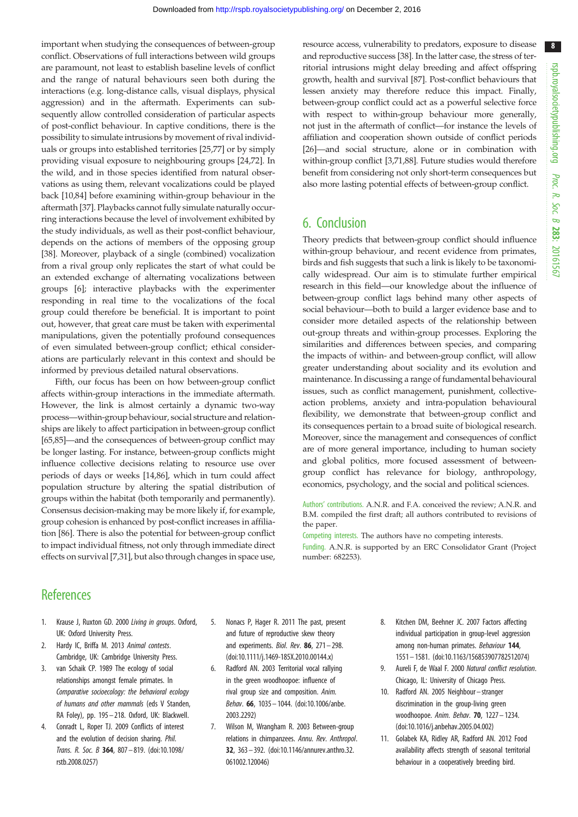<span id="page-8-0"></span>important when studying the consequences of between-group conflict. Observations of full interactions between wild groups are paramount, not least to establish baseline levels of conflict and the range of natural behaviours seen both during the interactions (e.g. long-distance calls, visual displays, physical aggression) and in the aftermath. Experiments can subsequently allow controlled consideration of particular aspects of post-conflict behaviour. In captive conditions, there is the possibility to simulate intrusions by movement of rival individuals or groups into established territories [\[25](#page-9-0)[,77](#page-10-0)] or by simply providing visual exposure to neighbouring groups [\[24](#page-9-0),[72](#page-10-0)]. In the wild, and in those species identified from natural observations as using them, relevant vocalizations could be played back [10[,84](#page-10-0)] before examining within-group behaviour in the aftermath [[37\]](#page-9-0). Playbacks cannot fully simulate naturally occurring interactions because the level of involvement exhibited by the study individuals, as well as their post-conflict behaviour, depends on the actions of members of the opposing group [\[38](#page-9-0)]. Moreover, playback of a single (combined) vocalization from a rival group only replicates the start of what could be an extended exchange of alternating vocalizations between groups [6]; interactive playbacks with the experimenter responding in real time to the vocalizations of the focal group could therefore be beneficial. It is important to point out, however, that great care must be taken with experimental manipulations, given the potentially profound consequences of even simulated between-group conflict; ethical considerations are particularly relevant in this context and should be informed by previous detailed natural observations.

Fifth, our focus has been on how between-group conflict affects within-group interactions in the immediate aftermath. However, the link is almost certainly a dynamic two-way process—within-group behaviour, social structure and relationships are likely to affect participation in between-group conflict [\[65,85](#page-10-0)]—and the consequences of between-group conflict may be longer lasting. For instance, between-group conflicts might influence collective decisions relating to resource use over periods of days or weeks [\[14](#page-9-0)[,86](#page-10-0)], which in turn could affect population structure by altering the spatial distribution of groups within the habitat (both temporarily and permanently). Consensus decision-making may be more likely if, for example, group cohesion is enhanced by post-conflict increases in affiliation [[86\]](#page-10-0). There is also the potential for between-group conflict to impact individual fitness, not only through immediate direct effects on survival [7[,31\]](#page-9-0), but also through changes in space use,

resource access, vulnerability to predators, exposure to disease and reproductive success [\[38](#page-9-0)]. In the latter case, the stress of territorial intrusions might delay breeding and affect offspring growth, health and survival [\[87\]](#page-10-0). Post-conflict behaviours that lessen anxiety may therefore reduce this impact. Finally, between-group conflict could act as a powerful selective force with respect to within-group behaviour more generally, not just in the aftermath of conflict—for instance the levels of affiliation and cooperation shown outside of conflict periods [[26](#page-9-0)]—and social structure, alone or in combination with within-group conflict [3[,71,88\]](#page-10-0). Future studies would therefore benefit from considering not only short-term consequences but also more lasting potential effects of between-group conflict.

# 6. Conclusion

Theory predicts that between-group conflict should influence within-group behaviour, and recent evidence from primates, birds and fish suggests that such a link is likely to be taxonomically widespread. Our aim is to stimulate further empirical research in this field—our knowledge about the influence of between-group conflict lags behind many other aspects of social behaviour—both to build a larger evidence base and to consider more detailed aspects of the relationship between out-group threats and within-group processes. Exploring the similarities and differences between species, and comparing the impacts of within- and between-group conflict, will allow greater understanding about sociality and its evolution and maintenance. In discussing a range of fundamental behavioural issues, such as conflict management, punishment, collectiveaction problems, anxiety and intra-population behavioural flexibility, we demonstrate that between-group conflict and its consequences pertain to a broad suite of biological research. Moreover, since the management and consequences of conflict are of more general importance, including to human society and global politics, more focused assessment of betweengroup conflict has relevance for biology, anthropology, economics, psychology, and the social and political sciences.

Authors' contributions. A.N.R. and F.A. conceived the review; A.N.R. and B.M. compiled the first draft; all authors contributed to revisions of the paper.

Competing interests. The authors have no competing interests. Funding. A.N.R. is supported by an ERC Consolidator Grant (Project number: 682253).

# **References**

- 1. Krause J, Ruxton GD. 2000 Living in groups. Oxford, UK: Oxford University Press.
- 2. Hardy IC, Briffa M. 2013 Animal contests. Cambridge, UK: Cambridge University Press.
- 3. van Schaik CP. 1989 The ecology of social relationships amongst female primates. In Comparative socioecology: the behavioral ecology of humans and other mammals (eds V Standen, RA Foley), pp. 195 – 218. Oxford, UK: Blackwell.
- 4. Conradt L, Roper TJ. 2009 Conflicts of interest and the evolution of decision sharing. Phil. Trans. R. Soc. B 364, 807 – 819. ([doi:10.1098/](http://dx.doi.org/10.1098/rstb.2008.0257) [rstb.2008.0257\)](http://dx.doi.org/10.1098/rstb.2008.0257)
- 5. Nonacs P, Hager R. 2011 The past, present and future of reproductive skew theory and experiments. Biol. Rev.  $86$ ,  $271-298$ . [\(doi:10.1111/j.1469-185X.2010.00144.x](http://dx.doi.org/10.1111/j.1469-185X.2010.00144.x))
- 6. Radford AN. 2003 Territorial vocal rallying in the green woodhoopoe: influence of rival group size and composition. Anim. Behav. 66, 1035 – 1044. [\(doi:10.1006/anbe.](http://dx.doi.org/10.1006/anbe.2003.2292) [2003.2292\)](http://dx.doi.org/10.1006/anbe.2003.2292)
- 7. Wilson M, Wrangham R. 2003 Between-group relations in chimpanzees. Annu. Rev. Anthropol. 32, 363– 392. ([doi:10.1146/annurev.anthro.32.](http://dx.doi.org/10.1146/annurev.anthro.32.061002.120046) [061002.120046](http://dx.doi.org/10.1146/annurev.anthro.32.061002.120046))
- 8. Kitchen DM, Beehner JC. 2007 Factors affecting individual participation in group-level aggression among non-human primates. Behaviour 144, 1551– 1581. ([doi:10.1163/156853907782512074](http://dx.doi.org/10.1163/156853907782512074))
- 9. Aureli F, de Waal F. 2000 Natural conflict resolution. Chicago, IL: University of Chicago Press.
- 10. Radford AN. 2005 Neighbour–stranger discrimination in the group-living green woodhoopoe. Anim. Behav. 70, 1227 – 1234. ([doi:10.1016/j.anbehav.2005.04.002](http://dx.doi.org/10.1016/j.anbehav.2005.04.002))
- 11. Golabek KA, Ridley AR, Radford AN. 2012 Food availability affects strength of seasonal territorial behaviour in a cooperatively breeding bird.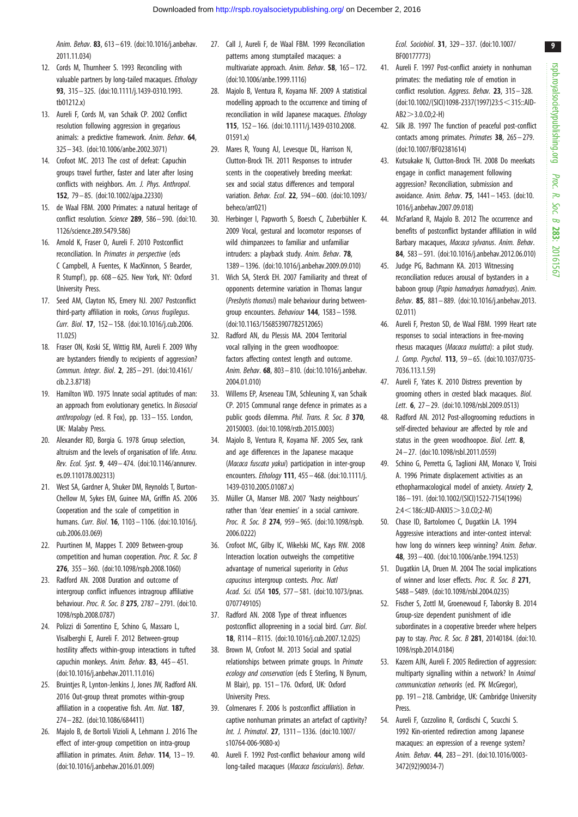<span id="page-9-0"></span>Anim. Behav. 83, 613– 619. [\(doi:10.1016/j.anbehav.](http://dx.doi.org/10.1016/j.anbehav.2011.11.034) [2011.11.034\)](http://dx.doi.org/10.1016/j.anbehav.2011.11.034)

- 12. Cords M, Thurnheer S. 1993 Reconciling with valuable partners by long-tailed macaques. Ethology 93, 315– 325. ([doi:10.1111/j.1439-0310.1993.](http://dx.doi.org/10.1111/j.1439-0310.1993.tb01212.x) [tb01212.x](http://dx.doi.org/10.1111/j.1439-0310.1993.tb01212.x))
- 13. Aureli F, Cords M, van Schaik CP. 2002 Conflict resolution following aggression in gregarious animals: a predictive framework. Anim. Behav. 64, 325– 343. ([doi:10.1006/anbe.2002.3071\)](http://dx.doi.org/10.1006/anbe.2002.3071)
- 14. Crofoot MC. 2013 The cost of defeat: Capuchin groups travel further, faster and later after losing conflicts with neighbors. Am. J. Phys. Anthropol. 152, 79 – 85. ([doi:10.1002/ajpa.22330](http://dx.doi.org/10.1002/ajpa.22330))
- 15. de Waal FBM. 2000 Primates: a natural heritage of conflict resolution. Science 289, 586– 590. [\(doi:10.](http://dx.doi.org/10.1126/science.289.5479.586) [1126/science.289.5479.586](http://dx.doi.org/10.1126/science.289.5479.586))
- 16. Arnold K, Fraser O, Aureli F. 2010 Postconflict reconciliation. In Primates in perspective (eds C Campbell, A Fuentes, K MacKinnon, S Bearder, R Stumpf), pp. 608– 625. New York, NY: Oxford University Press.
- 17. Seed AM, Clayton NS, Emery NJ. 2007 Postconflict third-party affiliation in rooks, Corvus frugilegus. Curr. Biol. 17, 152– 158. [\(doi:10.1016/j.cub.2006.](http://dx.doi.org/10.1016/j.cub.2006.11.025) [11.025\)](http://dx.doi.org/10.1016/j.cub.2006.11.025)
- 18. Fraser ON, Koski SE, Wittig RM, Aureli F. 2009 Why are bystanders friendly to recipients of aggression? Commun. Integr. Biol. 2, 285– 291. ([doi:10.4161/](http://dx.doi.org/10.4161/cib.2.3.8718) [cib.2.3.8718](http://dx.doi.org/10.4161/cib.2.3.8718))
- 19. Hamilton WD. 1975 Innate social aptitudes of man: an approach from evolutionary genetics. In Biosocial anthropology (ed. R Fox), pp. 133– 155. London, UK: Malaby Press.
- 20. Alexander RD, Borgia G. 1978 Group selection, altruism and the levels of organisation of life. Annu. Rev. Ecol. Syst. 9, 449– 474. [\(doi:10.1146/annurev.](http://dx.doi.org/10.1146/annurev.es.09.110178.002313) [es.09.110178.002313](http://dx.doi.org/10.1146/annurev.es.09.110178.002313))
- 21. West SA, Gardner A, Shuker DM, Reynolds T, Burton-Chellow M, Sykes EM, Guinee MA, Griffin AS. 2006 Cooperation and the scale of competition in humans. Curr. Biol. 16, 1103 – 1106. [\(doi:10.1016/j.](http://dx.doi.org/10.1016/j.cub.2006.03.069) [cub.2006.03.069](http://dx.doi.org/10.1016/j.cub.2006.03.069))
- 22. Puurtinen M, Mappes T. 2009 Between-group competition and human cooperation. Proc. R. Soc. B 276, 355– 360. [\(doi:10.1098/rspb.2008.1060](http://dx.doi.org/10.1098/rspb.2008.1060))
- 23. Radford AN. 2008 Duration and outcome of intergroup conflict influences intragroup affiliative behaviour. Proc. R. Soc. B 275, 2787– 2791. ([doi:10.](http://dx.doi.org/10.1098/rspb.2008.0787) [1098/rspb.2008.0787](http://dx.doi.org/10.1098/rspb.2008.0787))
- 24. Polizzi di Sorrentino E, Schino G, Massaro L, Visalberghi E, Aureli F. 2012 Between-group hostility affects within-group interactions in tufted capuchin monkeys. Anim. Behav. 83, 445– 451. [\(doi:10.1016/j.anbehav.2011.11.016\)](http://dx.doi.org/10.1016/j.anbehav.2011.11.016)
- 25. Bruintjes R, Lynton-Jenkins J, Jones JW, Radford AN. 2016 Out-group threat promotes within-group affiliation in a cooperative fish. Am. Nat. 187. 274– 282. ([doi:10.1086/684411](http://dx.doi.org/10.1086/684411))
- 26. Majolo B, de Bortoli Vizioli A, Lehmann J. 2016 The effect of inter-group competition on intra-group affiliation in primates. Anim. Behav. 114, 13– 19. [\(doi:10.1016/j.anbehav.2016.01.009\)](http://dx.doi.org/10.1016/j.anbehav.2016.01.009)
- 27. Call J, Aureli F, de Waal FBM. 1999 Reconciliation patterns among stumptailed macaques: a multivariate approach. Anim. Behav. 58, 165– 172. [\(doi:10.1006/anbe.1999.1116\)](http://dx.doi.org/10.1006/anbe.1999.1116)
- 28. Majolo B, Ventura R, Koyama NF. 2009 A statistical modelling approach to the occurrence and timing of reconciliation in wild Japanese macaques. Ethology 115, 152 – 166. [\(doi:10.1111/j.1439-0310.2008.](http://dx.doi.org/10.1111/j.1439-0310.2008.01591.x) [01591.x](http://dx.doi.org/10.1111/j.1439-0310.2008.01591.x))
- 29. Mares R, Young AJ, Levesque DL, Harrison N, Clutton-Brock TH. 2011 Responses to intruder scents in the cooperatively breeding meerkat: sex and social status differences and temporal variation. Behav. Ecol. 22, 594 – 600. [\(doi:10.1093/](http://dx.doi.org/10.1093/beheco/arr021) [beheco/arr021](http://dx.doi.org/10.1093/beheco/arr021))
- 30. Herbinger I, Papworth S, Boesch C, Zuberbühler K. 2009 Vocal, gestural and locomotor responses of wild chimpanzees to familiar and unfamiliar intruders: a playback study. Anim. Behav. 78, 1389 – 1396. [\(doi:10.1016/j.anbehav.2009.09.010\)](http://dx.doi.org/10.1016/j.anbehav.2009.09.010)
- 31. Wich SA, Sterck EH. 2007 Familiarity and threat of opponents determine variation in Thomas langur (Presbytis thomasi) male behaviour during betweengroup encounters. Behaviour 144, 1583 – 1598. [\(doi:10.1163/156853907782512065](http://dx.doi.org/10.1163/156853907782512065))
- 32. Radford AN, du Plessis MA. 2004 Territorial vocal rallying in the green woodhoopoe: factors affecting contest length and outcome. Anim. Behav. 68, 803– 810. [\(doi:10.1016/j.anbehav.](http://dx.doi.org/10.1016/j.anbehav.2004.01.010) [2004.01.010\)](http://dx.doi.org/10.1016/j.anbehav.2004.01.010)
- 33. Willems EP, Arseneau TJM, Schleuning X, van Schaik CP. 2015 Communal range defence in primates as a public goods dilemma. Phil. Trans. R. Soc. B 370, 20150003. ([doi:10.1098/rstb.2015.0003](http://dx.doi.org/10.1098/rstb.2015.0003))
- 34. Majolo B, Ventura R, Koyama NF. 2005 Sex, rank and age differences in the Japanese macaque (*Macaca fuscata vakui*) participation in inter-group encounters. Ethology 111, 455 – 468. [\(doi:10.1111/j.](http://dx.doi.org/10.1111/j.1439-0310.2005.01087.x) [1439-0310.2005.01087.x\)](http://dx.doi.org/10.1111/j.1439-0310.2005.01087.x)
- 35. Müller CA, Manser MB, 2007 'Nasty neighbours' rather than 'dear enemies' in a social carnivore. Proc. R. Soc. B 274, 959-965. ([doi:10.1098/rspb.](http://dx.doi.org/10.1098/rspb.2006.0222) [2006.0222\)](http://dx.doi.org/10.1098/rspb.2006.0222)
- 36. Crofoot MC, Gilby IC, Wikelski MC, Kays RW. 2008 Interaction location outweighs the competitive advantage of numerical superiority in Cebus capucinus intergroup contests. Proc. Natl Acad. Sci. USA 105, 577– 581. [\(doi:10.1073/pnas.](http://dx.doi.org/10.1073/pnas.0707749105) [0707749105\)](http://dx.doi.org/10.1073/pnas.0707749105)
- 37. Radford AN. 2008 Type of threat influences postconflict allopreening in a social bird. Curr. Biol. 18, R114 –R115. ([doi:10.1016/j.cub.2007.12.025\)](http://dx.doi.org/10.1016/j.cub.2007.12.025)
- 38. Brown M, Crofoot M. 2013 Social and spatial relationships between primate groups. In Primate ecology and conservation (eds E Sterling, N Bynum, M Blair), pp. 151 – 176. Oxford, UK: Oxford University Press.
- 39. Colmenares F. 2006 Is postconflict affiliation in captive nonhuman primates an artefact of captivity? Int. J. Primatol. 27, 1311 – 1336. ([doi:10.1007/](http://dx.doi.org/10.1007/s10764-006-9080-x) [s10764-006-9080-x](http://dx.doi.org/10.1007/s10764-006-9080-x))
- 40. Aureli F. 1992 Post-conflict behaviour among wild long-tailed macaques (Macaca fascicularis). Behav.

Ecol. Sociobiol. 31, 329– 337. ([doi:10.1007/](http://dx.doi.org/10.1007/BF00177773) [BF00177773](http://dx.doi.org/10.1007/BF00177773))

- 41. Aureli F. 1997 Post-conflict anxiety in nonhuman primates: the mediating role of emotion in conflict resolution. Aggress. Behav. 23, 315-328. ([doi:10.1002/\(SICI\)1098-2337\(1997\)23:5](http://dx.doi.org/10.1002/(SICI)1098-2337(1997)23:5%3C315::AID-AB2%3E3.0.CO;2-H) < 315::AID- $AB2 > 3.0$  $AB2 > 3.0$ . $CO:2-H$
- 42. Silk JB. 1997 The function of peaceful post-conflict contacts among primates. Primates 38, 265– 279. ([doi:10.1007/BF02381614](http://dx.doi.org/10.1007/BF02381614))
- 43. Kutsukake N, Clutton-Brock TH. 2008 Do meerkats engage in conflict management following aggression? Reconciliation, submission and avoidance. Anim. Behav. 75, 1441– 1453. [\(doi:10.](http://dx.doi.org/10.1016/j.anbehav.2007.09.018) [1016/j.anbehav.2007.09.018\)](http://dx.doi.org/10.1016/j.anbehav.2007.09.018)
- 44. McFarland R, Majolo B. 2012 The occurrence and benefits of postconflict bystander affiliation in wild Barbary macaques, Macaca sylvanus. Anim. Behav. 84, 583 – 591. [\(doi:10.1016/j.anbehav.2012.06.010\)](http://dx.doi.org/10.1016/j.anbehav.2012.06.010)
- 45. Judge PG, Bachmann KA. 2013 Witnessing reconciliation reduces arousal of bystanders in a baboon group (Papio hamadryas hamadryas). Anim. Behav. 85, 881– 889. [\(doi:10.1016/j.anbehav.2013.](http://dx.doi.org/10.1016/j.anbehav.2013.02.011) [02.011](http://dx.doi.org/10.1016/j.anbehav.2013.02.011))
- 46. Aureli F, Preston SD, de Waal FBM. 1999 Heart rate responses to social interactions in free-moving rhesus macaques (Macaca mulatta): a pilot study. J. Comp. Psychol. 113, 59 – 65. [\(doi:10.1037/0735-](http://dx.doi.org/10.1037/0735-7036.113.1.59) [7036.113.1.59\)](http://dx.doi.org/10.1037/0735-7036.113.1.59)
- 47. Aureli F, Yates K. 2010 Distress prevention by grooming others in crested black macaques. Biol. Lett. **6**, 27 - 29. ([doi:10.1098/rsbl.2009.0513\)](http://dx.doi.org/10.1098/rsbl.2009.0513)
- 48. Radford AN. 2012 Post-allogrooming reductions in self-directed behaviour are affected by role and status in the green woodhoopoe. Biol. Lett. 8, 24– 27. [\(doi:10.1098/rsbl.2011.0559](http://dx.doi.org/10.1098/rsbl.2011.0559))
- 49. Schino G, Perretta G, Taglioni AM, Monaco V, Troisi A. 1996 Primate displacement activities as an ethopharmacological model of anxiety. Anxiety 2, 186– 191. [\(doi:10.1002/\(SICI\)1522-7154\(1996\)](http://dx.doi.org/10.1002/(SICI)1522-7154(1996)2:4%3C186::AID-ANXI5%3E3.0.CO;2-M)  $2:4<186::AID-ANX15>3.0.C0:2-M$  $2:4<186::AID-ANX15>3.0.C0:2-M$
- 50. Chase ID, Bartolomeo C, Dugatkin LA. 1994 Aggressive interactions and inter-contest interval: how long do winners keep winning? Anim. Behav. 48, 393 – 400. [\(doi:10.1006/anbe.1994.1253\)](http://dx.doi.org/10.1006/anbe.1994.1253)
- 51. Dugatkin LA, Druen M. 2004 The social implications of winner and loser effects. Proc. R. Soc. B 271, S488– S489. ([doi:10.1098/rsbl.2004.0235](http://dx.doi.org/10.1098/rsbl.2004.0235))
- 52. Fischer S, Zottl M, Groenewoud F, Taborsky B. 2014 Group-size dependent punishment of idle subordinates in a cooperative breeder where helpers pay to stay. Proc. R. Soc. B 281, 20140184. [\(doi:10.](http://dx.doi.org/10.1098/rspb.2014.0184) [1098/rspb.2014.0184\)](http://dx.doi.org/10.1098/rspb.2014.0184)
- 53. Kazem AJN, Aureli F. 2005 Redirection of aggression: multiparty signalling within a network? In Animal communication networks (ed. PK McGregor), pp. 191– 218. Cambridge, UK: Cambridge University Press.
- 54. Aureli F, Cozzolino R, Cordischi C, Scucchi S. 1992 Kin-oriented redirection among Japanese macaques: an expression of a revenge system? Anim. Behav. 44, 283– 291. [\(doi:10.1016/0003-](http://dx.doi.org/10.1016/0003-3472(92)90034-7) [3472\(92\)90034-7](http://dx.doi.org/10.1016/0003-3472(92)90034-7))